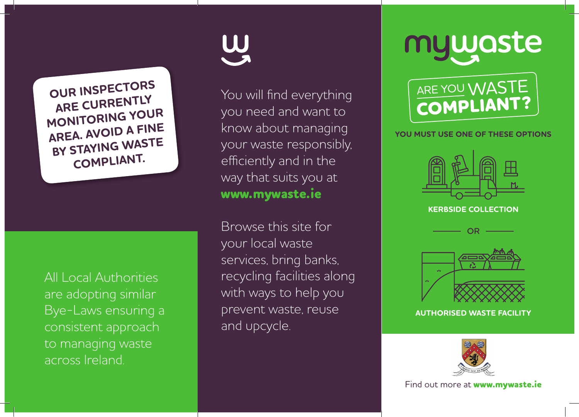**OUR INSPECTORS ARE CURRENTLY MONITORING YOUR AREA. AVOID A FINE BY STAYING WASTE COMPLIANT.**

All Local Authorities are adopting similar Bye-Laws ensuring a consistent approach to managing waste across Ireland.

You will find everything you need and want to know about managing your waste responsibly, efficiently and in the way that suits you at **www.mywaste.ie**

Browse this site for your local waste services, bring banks, recycling facilities along with ways to help you prevent waste, reuse and upcycle.

# mywaste



# **YOU MUST USE ONE OF THESE OPTIONS**



**KERBSIDE COLLECTION** 





**AUTHORISED WASTE FACILITY**



Find out more at **www.mywaste.ie**